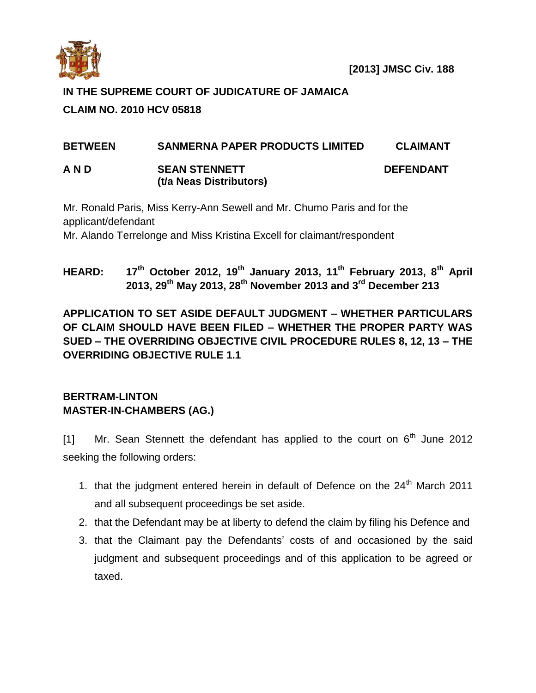

## **IN THE SUPREME COURT OF JUDICATURE OF JAMAICA**

# **CLAIM NO. 2010 HCV 05818**

# **BETWEEN SANMERNA PAPER PRODUCTS LIMITED CLAIMANT**

**A N D SEAN STENNETT DEFENDANT (t/a Neas Distributors)**

Mr. Ronald Paris, Miss Kerry-Ann Sewell and Mr. Chumo Paris and for the applicant/defendant Mr. Alando Terrelonge and Miss Kristina Excell for claimant/respondent

# **HEARD: 17th October 2012, 19th January 2013, 11th February 2013, 8th April 2013, 29th May 2013, 28th November 2013 and 3rd December 213**

**APPLICATION TO SET ASIDE DEFAULT JUDGMENT – WHETHER PARTICULARS OF CLAIM SHOULD HAVE BEEN FILED – WHETHER THE PROPER PARTY WAS SUED – THE OVERRIDING OBJECTIVE CIVIL PROCEDURE RULES 8, 12, 13 – THE OVERRIDING OBJECTIVE RULE 1.1**

## **BERTRAM-LINTON MASTER-IN-CHAMBERS (AG.)**

[1] Mr. Sean Stennett the defendant has applied to the court on  $6<sup>th</sup>$  June 2012 seeking the following orders:

- 1. that the judgment entered herein in default of Defence on the 24<sup>th</sup> March 2011 and all subsequent proceedings be set aside.
- 2. that the Defendant may be at liberty to defend the claim by filing his Defence and
- 3. that the Claimant pay the Defendants' costs of and occasioned by the said judgment and subsequent proceedings and of this application to be agreed or taxed.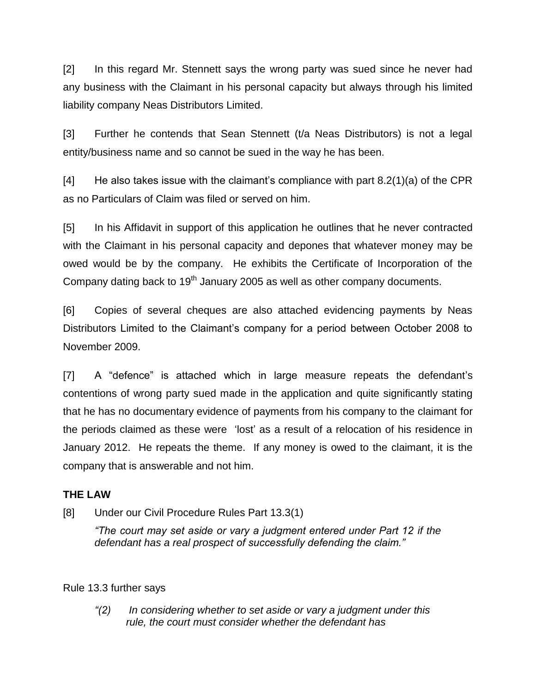[2] In this regard Mr. Stennett says the wrong party was sued since he never had any business with the Claimant in his personal capacity but always through his limited liability company Neas Distributors Limited.

[3] Further he contends that Sean Stennett (t/a Neas Distributors) is not a legal entity/business name and so cannot be sued in the way he has been.

[4] He also takes issue with the claimant's compliance with part 8.2(1)(a) of the CPR as no Particulars of Claim was filed or served on him.

[5] In his Affidavit in support of this application he outlines that he never contracted with the Claimant in his personal capacity and depones that whatever money may be owed would be by the company. He exhibits the Certificate of Incorporation of the Company dating back to  $19<sup>th</sup>$  January 2005 as well as other company documents.

[6] Copies of several cheques are also attached evidencing payments by Neas Distributors Limited to the Claimant's company for a period between October 2008 to November 2009.

[7] A "defence" is attached which in large measure repeats the defendant's contentions of wrong party sued made in the application and quite significantly stating that he has no documentary evidence of payments from his company to the claimant for the periods claimed as these were 'lost' as a result of a relocation of his residence in January 2012. He repeats the theme. If any money is owed to the claimant, it is the company that is answerable and not him.

### **THE LAW**

[8] Under our Civil Procedure Rules Part 13.3(1)

*"The court may set aside or vary a judgment entered under Part 12 if the defendant has a real prospect of successfully defending the claim."*

#### Rule 13.3 further says

*"(2) In considering whether to set aside or vary a judgment under this rule, the court must consider whether the defendant has*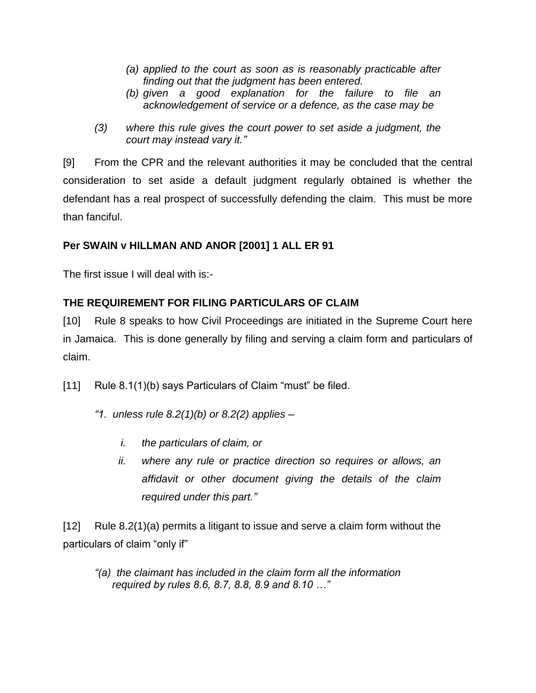- *(a) applied to the court as soon as is reasonably practicable after finding out that the judgment has been entered.*
- *(b) given a good explanation for the failure to file an acknowledgement of service or a defence, as the case may be*
- *(3) where this rule gives the court power to set aside a judgment, the court may instead vary it."*

[9] From the CPR and the relevant authorities it may be concluded that the central consideration to set aside a default judgment regularly obtained is whether the defendant has a real prospect of successfully defending the claim. This must be more than fanciful.

## **Per SWAIN v HILLMAN AND ANOR [2001] 1 ALL ER 91**

The first issue I will deal with is:-

## **THE REQUIREMENT FOR FILING PARTICULARS OF CLAIM**

[10] Rule 8 speaks to how Civil Proceedings are initiated in the Supreme Court here in Jamaica. This is done generally by filing and serving a claim form and particulars of claim.

- [11] Rule 8.1(1)(b) says Particulars of Claim "must" be filed.
	- *"1. unless rule 8.2(1)(b) or 8.2(2) applies –*
		- *i. the particulars of claim, or*
		- *ii. where any rule or practice direction so requires or allows, an affidavit or other document giving the details of the claim required under this part."*

[12] Rule 8.2(1)(a) permits a litigant to issue and serve a claim form without the particulars of claim "only if"

*"(a) the claimant has included in the claim form all the information required by rules 8.6, 8.7, 8.8, 8.9 and 8.10 …"*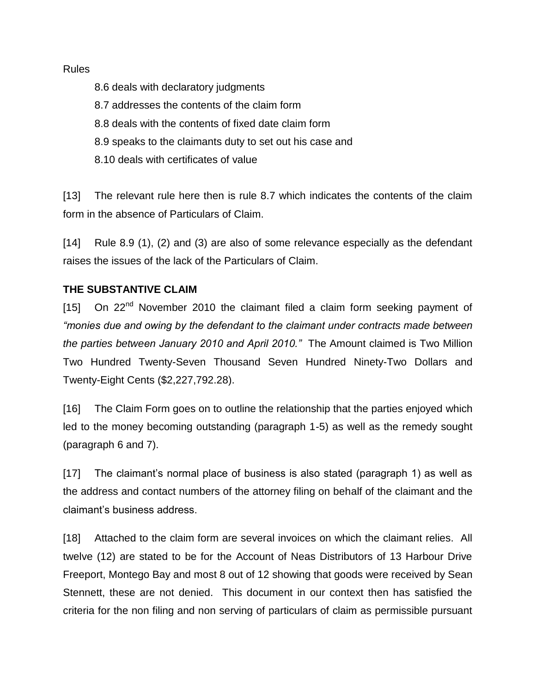#### Rules

8.6 deals with declaratory judgments 8.7 addresses the contents of the claim form 8.8 deals with the contents of fixed date claim form 8.9 speaks to the claimants duty to set out his case and 8.10 deals with certificates of value

[13] The relevant rule here then is rule 8.7 which indicates the contents of the claim form in the absence of Particulars of Claim.

[14] Rule 8.9 (1), (2) and (3) are also of some relevance especially as the defendant raises the issues of the lack of the Particulars of Claim.

### **THE SUBSTANTIVE CLAIM**

[15] On 22<sup>nd</sup> November 2010 the claimant filed a claim form seeking payment of *"monies due and owing by the defendant to the claimant under contracts made between the parties between January 2010 and April 2010."* The Amount claimed is Two Million Two Hundred Twenty-Seven Thousand Seven Hundred Ninety-Two Dollars and Twenty-Eight Cents (\$2,227,792.28).

[16] The Claim Form goes on to outline the relationship that the parties enjoyed which led to the money becoming outstanding (paragraph 1-5) as well as the remedy sought (paragraph 6 and 7).

[17] The claimant's normal place of business is also stated (paragraph 1) as well as the address and contact numbers of the attorney filing on behalf of the claimant and the claimant's business address.

[18] Attached to the claim form are several invoices on which the claimant relies. All twelve (12) are stated to be for the Account of Neas Distributors of 13 Harbour Drive Freeport, Montego Bay and most 8 out of 12 showing that goods were received by Sean Stennett, these are not denied. This document in our context then has satisfied the criteria for the non filing and non serving of particulars of claim as permissible pursuant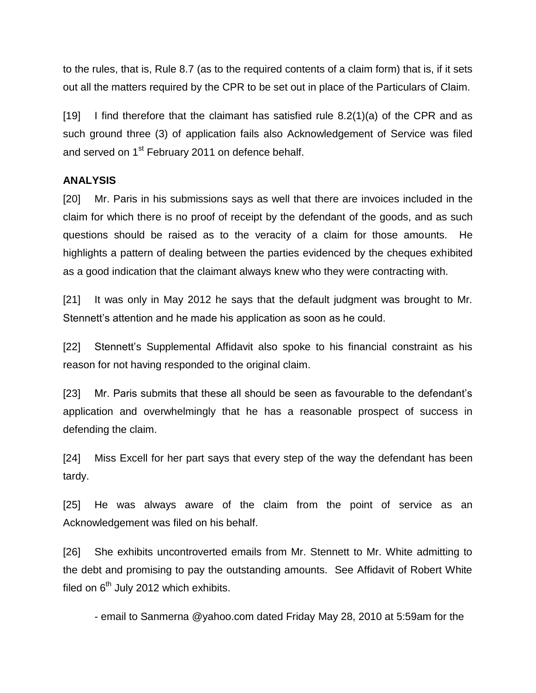to the rules, that is, Rule 8.7 (as to the required contents of a claim form) that is, if it sets out all the matters required by the CPR to be set out in place of the Particulars of Claim.

[19] I find therefore that the claimant has satisfied rule  $8.2(1)(a)$  of the CPR and as such ground three (3) of application fails also Acknowledgement of Service was filed and served on 1<sup>st</sup> February 2011 on defence behalf.

### **ANALYSIS**

[20] Mr. Paris in his submissions says as well that there are invoices included in the claim for which there is no proof of receipt by the defendant of the goods, and as such questions should be raised as to the veracity of a claim for those amounts. He highlights a pattern of dealing between the parties evidenced by the cheques exhibited as a good indication that the claimant always knew who they were contracting with.

[21] It was only in May 2012 he says that the default judgment was brought to Mr. Stennett's attention and he made his application as soon as he could.

[22] Stennett's Supplemental Affidavit also spoke to his financial constraint as his reason for not having responded to the original claim.

[23] Mr. Paris submits that these all should be seen as favourable to the defendant's application and overwhelmingly that he has a reasonable prospect of success in defending the claim.

[24] Miss Excell for her part says that every step of the way the defendant has been tardy.

[25] He was always aware of the claim from the point of service as an Acknowledgement was filed on his behalf.

[26] She exhibits uncontroverted emails from Mr. Stennett to Mr. White admitting to the debt and promising to pay the outstanding amounts. See Affidavit of Robert White filed on  $6^{th}$  July 2012 which exhibits.

- email to Sanmerna @yahoo.com dated Friday May 28, 2010 at 5:59am for the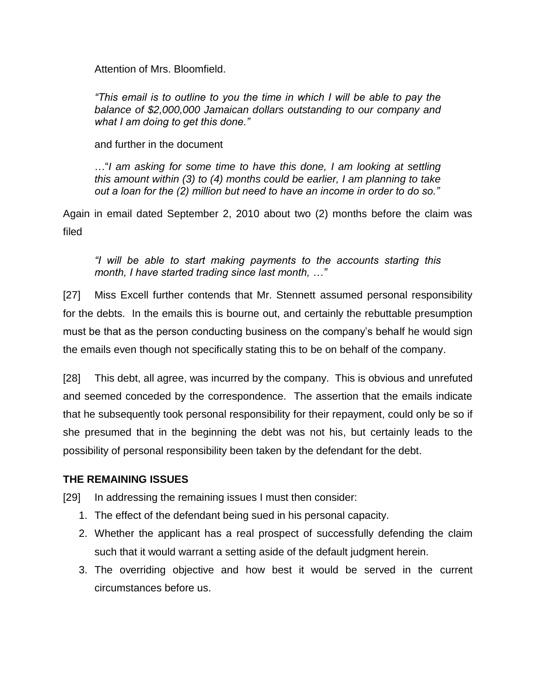Attention of Mrs. Bloomfield.

*"This email is to outline to you the time in which I will be able to pay the balance of \$2,000,000 Jamaican dollars outstanding to our company and what I am doing to get this done."*

and further in the document

…"*I am asking for some time to have this done, I am looking at settling this amount within (3) to (4) months could be earlier, I am planning to take out a loan for the (2) million but need to have an income in order to do so."*

Again in email dated September 2, 2010 about two (2) months before the claim was filed

*"I will be able to start making payments to the accounts starting this month, I have started trading since last month, …"*

[27] Miss Excell further contends that Mr. Stennett assumed personal responsibility for the debts. In the emails this is bourne out, and certainly the rebuttable presumption must be that as the person conducting business on the company's behalf he would sign the emails even though not specifically stating this to be on behalf of the company.

[28] This debt, all agree, was incurred by the company. This is obvious and unrefuted and seemed conceded by the correspondence. The assertion that the emails indicate that he subsequently took personal responsibility for their repayment, could only be so if she presumed that in the beginning the debt was not his, but certainly leads to the possibility of personal responsibility been taken by the defendant for the debt.

### **THE REMAINING ISSUES**

[29] In addressing the remaining issues I must then consider:

- 1. The effect of the defendant being sued in his personal capacity.
- 2. Whether the applicant has a real prospect of successfully defending the claim such that it would warrant a setting aside of the default judgment herein.
- 3. The overriding objective and how best it would be served in the current circumstances before us.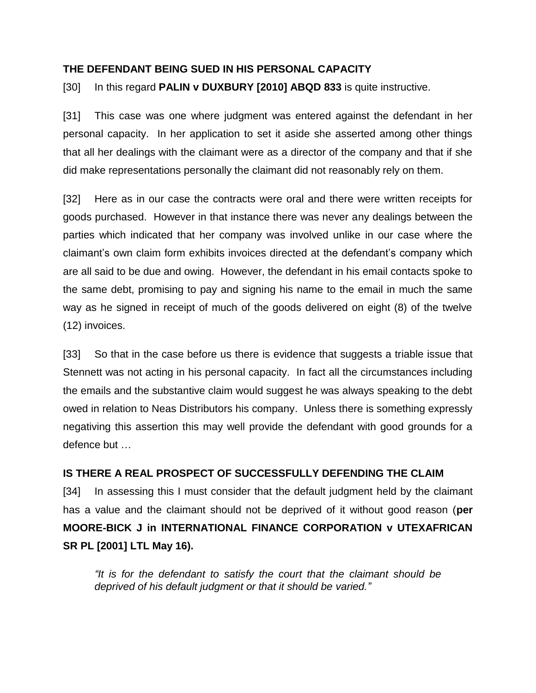#### **THE DEFENDANT BEING SUED IN HIS PERSONAL CAPACITY**

[30] In this regard **PALIN v DUXBURY [2010] ABQD 833** is quite instructive.

[31] This case was one where judgment was entered against the defendant in her personal capacity. In her application to set it aside she asserted among other things that all her dealings with the claimant were as a director of the company and that if she did make representations personally the claimant did not reasonably rely on them.

[32] Here as in our case the contracts were oral and there were written receipts for goods purchased. However in that instance there was never any dealings between the parties which indicated that her company was involved unlike in our case where the claimant's own claim form exhibits invoices directed at the defendant's company which are all said to be due and owing. However, the defendant in his email contacts spoke to the same debt, promising to pay and signing his name to the email in much the same way as he signed in receipt of much of the goods delivered on eight (8) of the twelve (12) invoices.

[33] So that in the case before us there is evidence that suggests a triable issue that Stennett was not acting in his personal capacity. In fact all the circumstances including the emails and the substantive claim would suggest he was always speaking to the debt owed in relation to Neas Distributors his company. Unless there is something expressly negativing this assertion this may well provide the defendant with good grounds for a defence but …

#### **IS THERE A REAL PROSPECT OF SUCCESSFULLY DEFENDING THE CLAIM**

[34] In assessing this I must consider that the default judgment held by the claimant has a value and the claimant should not be deprived of it without good reason (**per MOORE-BICK J in INTERNATIONAL FINANCE CORPORATION v UTEXAFRICAN SR PL [2001] LTL May 16).**

*"It is for the defendant to satisfy the court that the claimant should be deprived of his default judgment or that it should be varied."*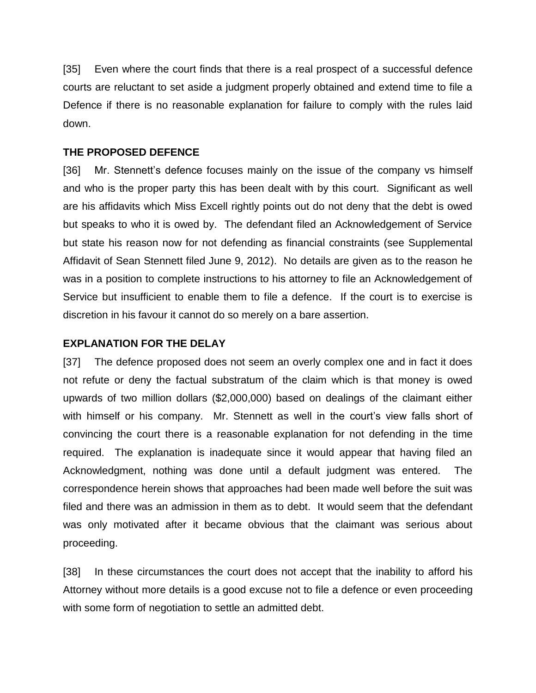[35] Even where the court finds that there is a real prospect of a successful defence courts are reluctant to set aside a judgment properly obtained and extend time to file a Defence if there is no reasonable explanation for failure to comply with the rules laid down.

#### **THE PROPOSED DEFENCE**

[36] Mr. Stennett's defence focuses mainly on the issue of the company vs himself and who is the proper party this has been dealt with by this court. Significant as well are his affidavits which Miss Excell rightly points out do not deny that the debt is owed but speaks to who it is owed by. The defendant filed an Acknowledgement of Service but state his reason now for not defending as financial constraints (see Supplemental Affidavit of Sean Stennett filed June 9, 2012). No details are given as to the reason he was in a position to complete instructions to his attorney to file an Acknowledgement of Service but insufficient to enable them to file a defence. If the court is to exercise is discretion in his favour it cannot do so merely on a bare assertion.

#### **EXPLANATION FOR THE DELAY**

[37] The defence proposed does not seem an overly complex one and in fact it does not refute or deny the factual substratum of the claim which is that money is owed upwards of two million dollars (\$2,000,000) based on dealings of the claimant either with himself or his company. Mr. Stennett as well in the court's view falls short of convincing the court there is a reasonable explanation for not defending in the time required. The explanation is inadequate since it would appear that having filed an Acknowledgment, nothing was done until a default judgment was entered. The correspondence herein shows that approaches had been made well before the suit was filed and there was an admission in them as to debt. It would seem that the defendant was only motivated after it became obvious that the claimant was serious about proceeding.

[38] In these circumstances the court does not accept that the inability to afford his Attorney without more details is a good excuse not to file a defence or even proceeding with some form of negotiation to settle an admitted debt.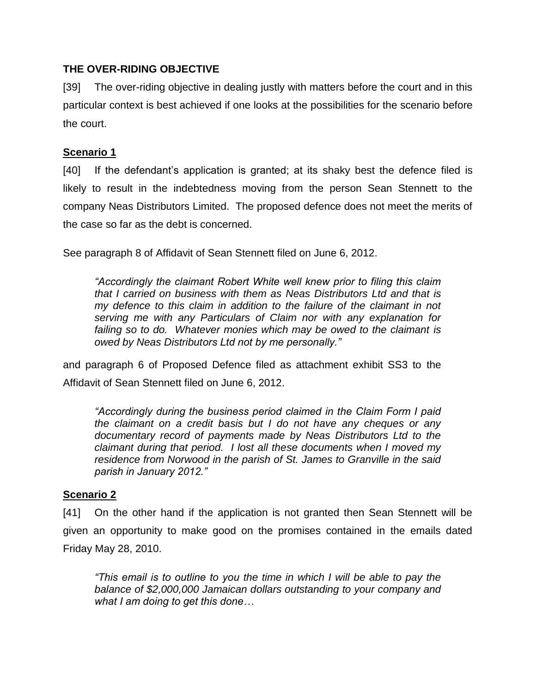### **THE OVER-RIDING OBJECTIVE**

[39] The over-riding objective in dealing justly with matters before the court and in this particular context is best achieved if one looks at the possibilities for the scenario before the court.

## **Scenario 1**

[40] If the defendant's application is granted; at its shaky best the defence filed is likely to result in the indebtedness moving from the person Sean Stennett to the company Neas Distributors Limited. The proposed defence does not meet the merits of the case so far as the debt is concerned.

See paragraph 8 of Affidavit of Sean Stennett filed on June 6, 2012.

*"Accordingly the claimant Robert White well knew prior to filing this claim that I carried on business with them as Neas Distributors Ltd and that is my defence to this claim in addition to the failure of the claimant in not serving me with any Particulars of Claim nor with any explanation for failing so to do. Whatever monies which may be owed to the claimant is owed by Neas Distributors Ltd not by me personally."*

and paragraph 6 of Proposed Defence filed as attachment exhibit SS3 to the Affidavit of Sean Stennett filed on June 6, 2012.

*"Accordingly during the business period claimed in the Claim Form I paid the claimant on a credit basis but I do not have any cheques or any documentary record of payments made by Neas Distributors Ltd to the claimant during that period. I lost all these documents when I moved my residence from Norwood in the parish of St. James to Granville in the said parish in January 2012."*

## **Scenario 2**

[41] On the other hand if the application is not granted then Sean Stennett will be given an opportunity to make good on the promises contained in the emails dated Friday May 28, 2010.

*"This email is to outline to you the time in which I will be able to pay the balance of \$2,000,000 Jamaican dollars outstanding to your company and what I am doing to get this done…*